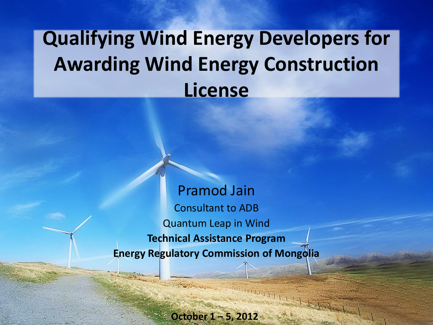## **Qualifying Wind Energy Developers for Awarding Wind Energy Construction License**

Pramod Jain Consultant to ADB Quantum Leap in Wind **Technical Assistance Program Energy Regulatory Commission of Mongolia**

**October 1 – 5, 2012**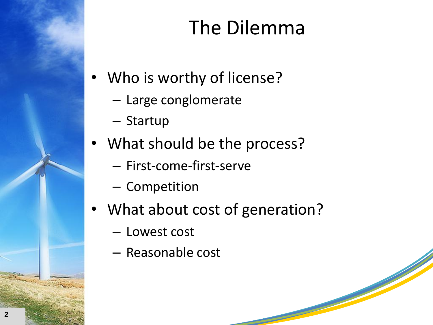## The Dilemma

- Who is worthy of license?
	- Large conglomerate
	- Startup
- What should be the process?
	- First-come-first-serve
	- Competition
- What about cost of generation?
	- Lowest cost
	- Reasonable cost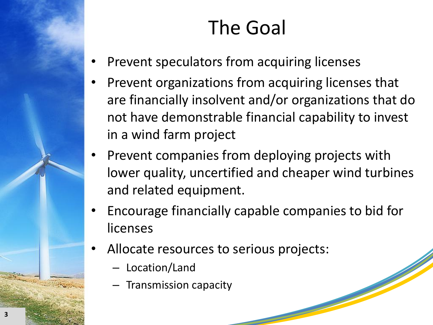## The Goal

- Prevent speculators from acquiring licenses
- Prevent organizations from acquiring licenses that are financially insolvent and/or organizations that do not have demonstrable financial capability to invest in a wind farm project
- Prevent companies from deploying projects with lower quality, uncertified and cheaper wind turbines and related equipment.
- Encourage financially capable companies to bid for licenses
- Allocate resources to serious projects:
	- Location/Land
	- Transmission capacity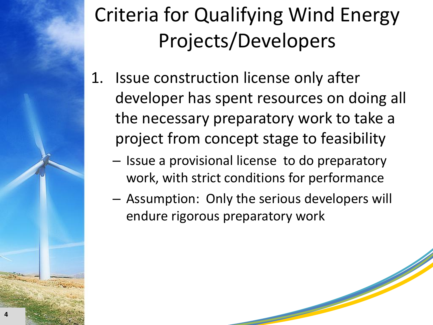# Criteria for Qualifying Wind Energy Projects/Developers

- 1. Issue construction license only after developer has spent resources on doing all the necessary preparatory work to take a project from concept stage to feasibility
	- Issue a provisional license to do preparatory work, with strict conditions for performance
	- Assumption: Only the serious developers will endure rigorous preparatory work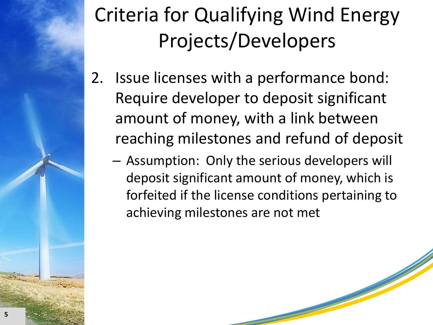# Criteria for Qualifying Wind Energy Projects/Developers

- 2. Issue licenses with a performance bond: Require developer to deposit significant amount of money, with a link between reaching milestones and refund of deposit
	- Assumption: Only the serious developers will deposit significant amount of money, which is forfeited if the license conditions pertaining to achieving milestones are not met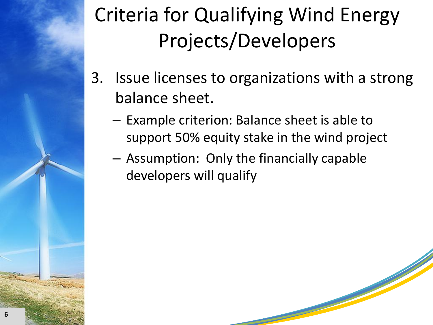# Criteria for Qualifying Wind Energy Projects/Developers

- 3. Issue licenses to organizations with a strong balance sheet.
	- Example criterion: Balance sheet is able to support 50% equity stake in the wind project
	- Assumption: Only the financially capable developers will qualify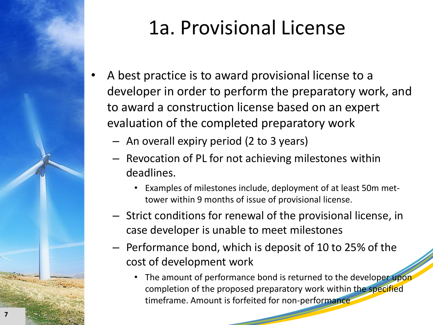

## 1a. Provisional License

- A best practice is to award provisional license to a developer in order to perform the preparatory work, and to award a construction license based on an expert evaluation of the completed preparatory work
	- An overall expiry period (2 to 3 years)
	- Revocation of PL for not achieving milestones within deadlines.
		- Examples of milestones include, deployment of at least 50m mettower within 9 months of issue of provisional license.
	- Strict conditions for renewal of the provisional license, in case developer is unable to meet milestones
	- Performance bond, which is deposit of 10 to 25% of the cost of development work
		- The amount of performance bond is returned to the developer upon completion of the proposed preparatory work within the specified timeframe. Amount is forfeited for non-performance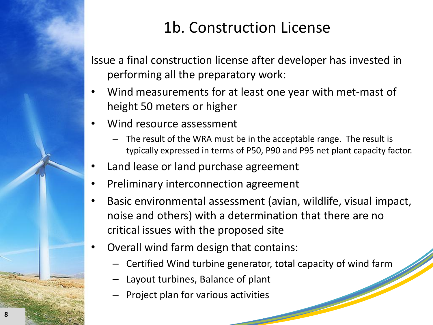#### 1b. Construction License

Issue a final construction license after developer has invested in performing all the preparatory work:

- Wind measurements for at least one year with met-mast of height 50 meters or higher
- Wind resource assessment
	- The result of the WRA must be in the acceptable range. The result is typically expressed in terms of P50, P90 and P95 net plant capacity factor.
- Land lease or land purchase agreement
- Preliminary interconnection agreement
- Basic environmental assessment (avian, wildlife, visual impact, noise and others) with a determination that there are no critical issues with the proposed site
- Overall wind farm design that contains:
	- Certified Wind turbine generator, total capacity of wind farm
	- Layout turbines, Balance of plant
	- Project plan for various activities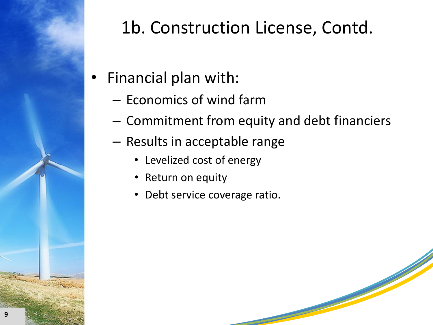

### 1b. Construction License, Contd.

- Financial plan with:
	- Economics of wind farm
	- Commitment from equity and debt financiers
	- Results in acceptable range
		- Levelized cost of energy
		- Return on equity
		- Debt service coverage ratio.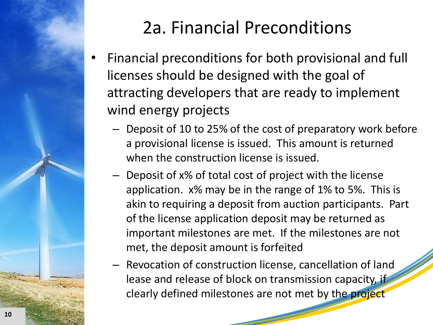

### 2a. Financial Preconditions

- Financial preconditions for both provisional and full licenses should be designed with the goal of attracting developers that are ready to implement wind energy projects
	- Deposit of 10 to 25% of the cost of preparatory work before a provisional license is issued. This amount is returned when the construction license is issued.
	- Deposit of x% of total cost of project with the license application. x% may be in the range of 1% to 5%. This is akin to requiring a deposit from auction participants. Part of the license application deposit may be returned as important milestones are met. If the milestones are not met, the deposit amount is forfeited
	- Revocation of construction license, cancellation of land lease and release of block on transmission capacity, if clearly defined milestones are not met by the project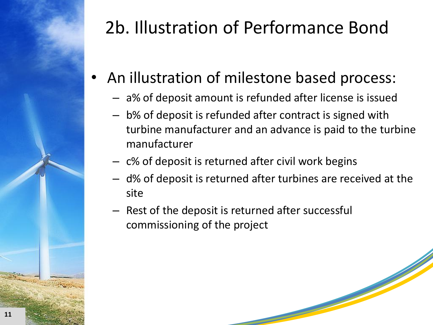

### 2b. Illustration of Performance Bond

- An illustration of milestone based process:
	- a% of deposit amount is refunded after license is issued
	- b% of deposit is refunded after contract is signed with turbine manufacturer and an advance is paid to the turbine manufacturer
	- c% of deposit is returned after civil work begins
	- d% of deposit is returned after turbines are received at the site
	- Rest of the deposit is returned after successful commissioning of the project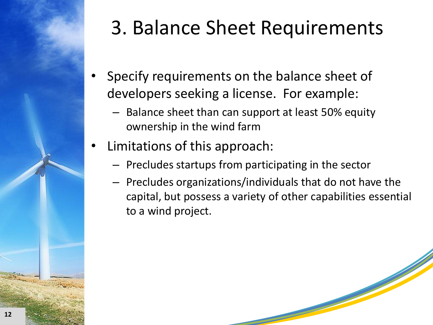

## 3. Balance Sheet Requirements

- Specify requirements on the balance sheet of developers seeking a license. For example:
	- Balance sheet than can support at least 50% equity ownership in the wind farm
- Limitations of this approach:
	- Precludes startups from participating in the sector
	- Precludes organizations/individuals that do not have the capital, but possess a variety of other capabilities essential to a wind project.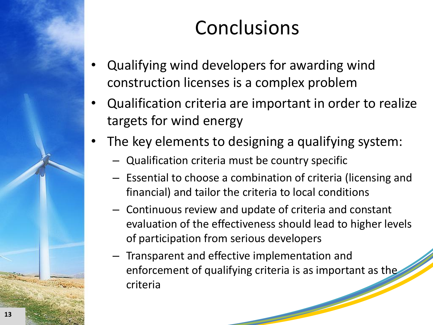### **Conclusions**

- Qualifying wind developers for awarding wind construction licenses is a complex problem
- Qualification criteria are important in order to realize targets for wind energy
- The key elements to designing a qualifying system:
	- Qualification criteria must be country specific
	- Essential to choose a combination of criteria (licensing and financial) and tailor the criteria to local conditions
	- Continuous review and update of criteria and constant evaluation of the effectiveness should lead to higher levels of participation from serious developers
	- Transparent and effective implementation and enforcement of qualifying criteria is as important as the criteria